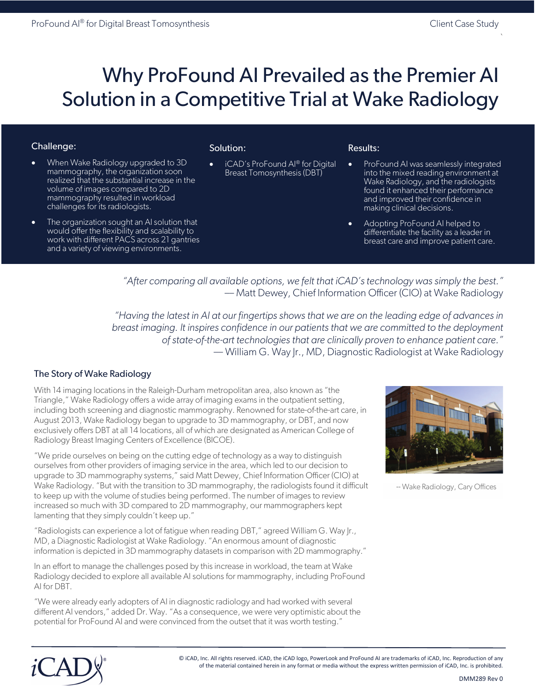• When Wake Radiology upgraded to 3D mammography, the organization soon realized that the substantial increase in the volume of images compared to 2D mammography resulted in workload challenges for its radiologists.

• The organization sought an AI solution that would offer the flexibility and scalability to work with different PACS across 21 gantries and a variety of viewing environments.

 $\mathcal{L}_{\mathcal{L}}$ 

# Why ProFound AI Prevailed as the Premier AI Solution in a Competitive Trial at Wake Radiology

### Challenge:

#### Solution:

• iCAD's ProFound AI® for Digital Breast Tomosynthesis (DBT)

#### Results:

- ProFound AI was seamlessly integrated into the mixed reading environment at Wake Radiology, and the radiologists found it enhanced their performance and improved their confidence in making clinical decisions.
- Adopting ProFound AI helped to differentiate the facility as a leader in breast care and improve patient care.

*"After comparing all available options, we felt that iCAD's technology was simply the best."* –– Matt Dewey, Chief Information Officer (CIO) at Wake Radiology

*"Having the latest in AI at our fingertips shows that we are on the leading edge of advances in breast imaging. It inspires confidence in our patients that we are committed to the deployment of state-of-the-art technologies that are clinically proven to enhance patient care."* –– William G. Way Jr., MD, Diagnostic Radiologist at Wake Radiology

## The Story of Wake Radiology

With 14 imaging locations in the Raleigh-Durham metropolitan area, also known as "the Triangle," Wake Radiology offers a wide array of imaging exams in the outpatient setting, including both screening and diagnostic mammography. Renowned for state-of-the-art care, in August 2013, Wake Radiology began to upgrade to 3D mammography, or DBT, and now exclusively offers DBT at all 14 locations, all of which are designated as American College of Radiology Breast Imaging Centers of Excellence (BICOE).

"We pride ourselves on being on the cutting edge of technology as a way to distinguish ourselves from other providers of imaging service in the area, which led to our decision to upgrade to 3D mammography systems," said Matt Dewey, Chief Information Officer (CIO) at Wake Radiology. "But with the transition to 3D mammography, the radiologists found it difficult to keep up with the volume of studies being performed. The number of images to review increased so much with 3D compared to 2D mammography, our mammographers kept lamenting that they simply couldn't keep up."

"Radiologists can experience a lot of fatigue when reading DBT," agreed William G. Way Jr., MD, a Diagnostic Radiologist at Wake Radiology. "An enormous amount of diagnostic information is depicted in 3D mammography datasets in comparison with 2D mammography."

In an effort to manage the challenges posed by this increase in workload, the team at Wake Radiology decided to explore all available AI solutions for mammography, including ProFound AI for DBT.

"We were already early adopters of AI in diagnostic radiology and had worked with several different AI vendors," added Dr. Way. "As a consequence, we were very optimistic about the potential for ProFound AI and were convinced from the outset that it was worth testing."



<sup>--</sup> Wake Radiology, Cary Offices



© iCAD, Inc. All rights reserved. iCAD, the iCAD logo, PowerLook and ProFound AI are trademarks of iCAD, Inc. Reproduction of any of the material contained herein in any format or media without the express written permission of iCAD, Inc. is prohibited.